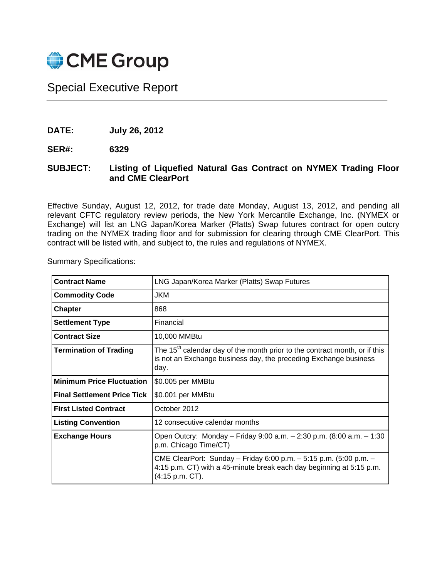

## Special Executive Report

**DATE: July 26, 2012** 

**SER#: 6329** 

## **SUBJECT: Listing of Liquefied Natural Gas Contract on NYMEX Trading Floor and CME ClearPort**

Effective Sunday, August 12, 2012, for trade date Monday, August 13, 2012, and pending all relevant CFTC regulatory review periods, the New York Mercantile Exchange, Inc. (NYMEX or Exchange) will list an LNG Japan/Korea Marker (Platts) Swap futures contract for open outcry trading on the NYMEX trading floor and for submission for clearing through CME ClearPort. This contract will be listed with, and subject to, the rules and regulations of NYMEX.

Summary Specifications:

| <b>Contract Name</b>               | LNG Japan/Korea Marker (Platts) Swap Futures                                                                                                                       |  |
|------------------------------------|--------------------------------------------------------------------------------------------------------------------------------------------------------------------|--|
| <b>Commodity Code</b>              | JKM                                                                                                                                                                |  |
| <b>Chapter</b>                     | 868                                                                                                                                                                |  |
| <b>Settlement Type</b>             | Financial                                                                                                                                                          |  |
| <b>Contract Size</b>               | 10,000 MMBtu                                                                                                                                                       |  |
| <b>Termination of Trading</b>      | The 15 <sup>th</sup> calendar day of the month prior to the contract month, or if this<br>is not an Exchange business day, the preceding Exchange business<br>day. |  |
| <b>Minimum Price Fluctuation</b>   | \$0.005 per MMBtu                                                                                                                                                  |  |
| <b>Final Settlement Price Tick</b> | \$0.001 per MMBtu                                                                                                                                                  |  |
| <b>First Listed Contract</b>       | October 2012                                                                                                                                                       |  |
| <b>Listing Convention</b>          | 12 consecutive calendar months                                                                                                                                     |  |
| <b>Exchange Hours</b>              | Open Outcry: Monday – Friday 9:00 a.m. – 2:30 p.m. (8:00 a.m. – 1:30<br>p.m. Chicago Time/CT)                                                                      |  |
|                                    | CME ClearPort: Sunday - Friday 6:00 p.m. - 5:15 p.m. (5:00 p.m. -<br>4:15 p.m. CT) with a 45-minute break each day beginning at 5:15 p.m.<br>(4:15 p.m. CT).       |  |